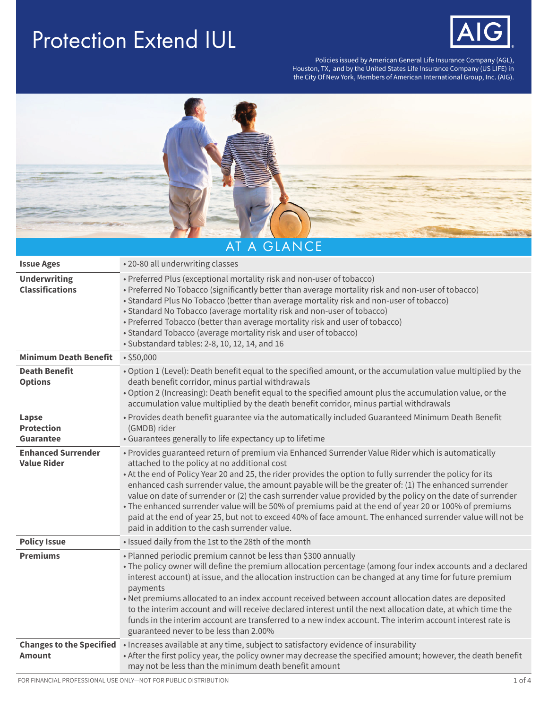## Protection Extend IUL



Policies issued by American General Life Insurance Company (AGL), Houston, TX, and by the United States Life Insurance Company (US LIFE) in the City Of New York, Members of American International Group, Inc. (AIG).



| <b>Issue Ages</b>                                | • 20-80 all underwriting classes                                                                                                                                                                                                                                                                                                                                                                                                                                                                                                                                                                                                                                                                                                                              |
|--------------------------------------------------|---------------------------------------------------------------------------------------------------------------------------------------------------------------------------------------------------------------------------------------------------------------------------------------------------------------------------------------------------------------------------------------------------------------------------------------------------------------------------------------------------------------------------------------------------------------------------------------------------------------------------------------------------------------------------------------------------------------------------------------------------------------|
| <b>Underwriting</b><br><b>Classifications</b>    | • Preferred Plus (exceptional mortality risk and non-user of tobacco)<br>• Preferred No Tobacco (significantly better than average mortality risk and non-user of tobacco)<br>• Standard Plus No Tobacco (better than average mortality risk and non-user of tobacco)<br>• Standard No Tobacco (average mortality risk and non-user of tobacco)<br>• Preferred Tobacco (better than average mortality risk and user of tobacco)<br>• Standard Tobacco (average mortality risk and user of tobacco)<br>· Substandard tables: 2-8, 10, 12, 14, and 16                                                                                                                                                                                                           |
| <b>Minimum Death Benefit</b>                     | •\$50,000                                                                                                                                                                                                                                                                                                                                                                                                                                                                                                                                                                                                                                                                                                                                                     |
| <b>Death Benefit</b><br><b>Options</b>           | . Option 1 (Level): Death benefit equal to the specified amount, or the accumulation value multiplied by the<br>death benefit corridor, minus partial withdrawals<br>. Option 2 (Increasing): Death benefit equal to the specified amount plus the accumulation value, or the<br>accumulation value multiplied by the death benefit corridor, minus partial withdrawals                                                                                                                                                                                                                                                                                                                                                                                       |
| Lapse<br><b>Protection</b><br><b>Guarantee</b>   | • Provides death benefit guarantee via the automatically included Guaranteed Minimum Death Benefit<br>(GMDB) rider<br>• Guarantees generally to life expectancy up to lifetime                                                                                                                                                                                                                                                                                                                                                                                                                                                                                                                                                                                |
| <b>Enhanced Surrender</b><br><b>Value Rider</b>  | • Provides guaranteed return of premium via Enhanced Surrender Value Rider which is automatically<br>attached to the policy at no additional cost<br>. At the end of Policy Year 20 and 25, the rider provides the option to fully surrender the policy for its<br>enhanced cash surrender value, the amount payable will be the greater of: (1) The enhanced surrender<br>value on date of surrender or (2) the cash surrender value provided by the policy on the date of surrender<br>• The enhanced surrender value will be 50% of premiums paid at the end of year 20 or 100% of premiums<br>paid at the end of year 25, but not to exceed 40% of face amount. The enhanced surrender value will not be<br>paid in addition to the cash surrender value. |
| <b>Policy Issue</b>                              | . Issued daily from the 1st to the 28th of the month                                                                                                                                                                                                                                                                                                                                                                                                                                                                                                                                                                                                                                                                                                          |
| <b>Premiums</b>                                  | . Planned periodic premium cannot be less than \$300 annually<br>• The policy owner will define the premium allocation percentage (among four index accounts and a declared<br>interest account) at issue, and the allocation instruction can be changed at any time for future premium<br>payments<br>• Net premiums allocated to an index account received between account allocation dates are deposited<br>to the interim account and will receive declared interest until the next allocation date, at which time the<br>funds in the interim account are transferred to a new index account. The interim account interest rate is<br>guaranteed never to be less than 2.00%                                                                             |
| <b>Changes to the Specified</b><br><b>Amount</b> | • Increases available at any time, subject to satisfactory evidence of insurability<br>• After the first policy year, the policy owner may decrease the specified amount; however, the death benefit<br>may not be less than the minimum death benefit amount                                                                                                                                                                                                                                                                                                                                                                                                                                                                                                 |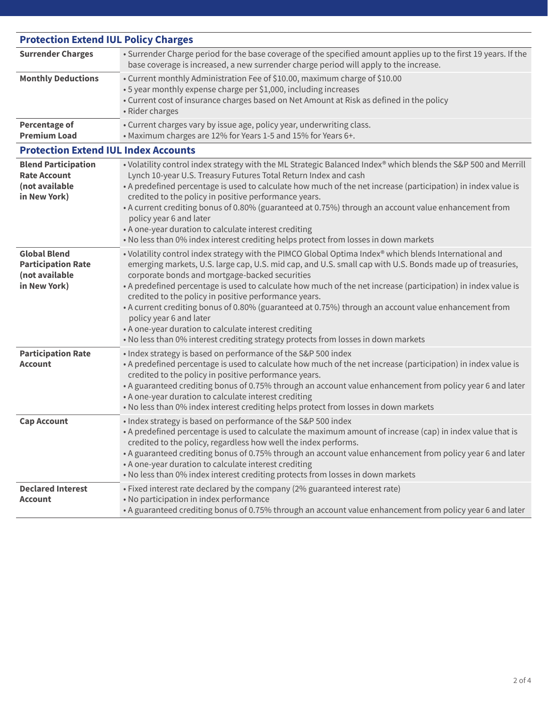| <b>Protection Extend IUL Policy Charges</b>                                         |                                                                                                                                                                                                                                                                                                                                                                                                                                                                                                                                                                                                                                                                                                                                   |
|-------------------------------------------------------------------------------------|-----------------------------------------------------------------------------------------------------------------------------------------------------------------------------------------------------------------------------------------------------------------------------------------------------------------------------------------------------------------------------------------------------------------------------------------------------------------------------------------------------------------------------------------------------------------------------------------------------------------------------------------------------------------------------------------------------------------------------------|
| <b>Surrender Charges</b>                                                            | · Surrender Charge period for the base coverage of the specified amount applies up to the first 19 years. If the<br>base coverage is increased, a new surrender charge period will apply to the increase.                                                                                                                                                                                                                                                                                                                                                                                                                                                                                                                         |
| <b>Monthly Deductions</b>                                                           | • Current monthly Administration Fee of \$10.00, maximum charge of \$10.00<br>• 5 year monthly expense charge per \$1,000, including increases<br>• Current cost of insurance charges based on Net Amount at Risk as defined in the policy<br>• Rider charges                                                                                                                                                                                                                                                                                                                                                                                                                                                                     |
| <b>Percentage of</b><br><b>Premium Load</b>                                         | • Current charges vary by issue age, policy year, underwriting class.<br>• Maximum charges are 12% for Years 1-5 and 15% for Years 6+.                                                                                                                                                                                                                                                                                                                                                                                                                                                                                                                                                                                            |
| <b>Protection Extend IUL Index Accounts</b>                                         |                                                                                                                                                                                                                                                                                                                                                                                                                                                                                                                                                                                                                                                                                                                                   |
| <b>Blend Participation</b><br><b>Rate Account</b><br>(not available<br>in New York) | • Volatility control index strategy with the ML Strategic Balanced Index® which blends the S&P 500 and Merrill<br>Lynch 10-year U.S. Treasury Futures Total Return Index and cash<br>• A predefined percentage is used to calculate how much of the net increase (participation) in index value is<br>credited to the policy in positive performance years.<br>• A current crediting bonus of 0.80% (guaranteed at 0.75%) through an account value enhancement from<br>policy year 6 and later<br>• A one-year duration to calculate interest crediting<br>. No less than 0% index interest crediting helps protect from losses in down markets                                                                                   |
| <b>Global Blend</b><br><b>Participation Rate</b><br>(not available<br>in New York)  | • Volatility control index strategy with the PIMCO Global Optima Index® which blends International and<br>emerging markets, U.S. large cap, U.S. mid cap, and U.S. small cap with U.S. Bonds made up of treasuries,<br>corporate bonds and mortgage-backed securities<br>• A predefined percentage is used to calculate how much of the net increase (participation) in index value is<br>credited to the policy in positive performance years.<br>• A current crediting bonus of 0.80% (guaranteed at 0.75%) through an account value enhancement from<br>policy year 6 and later<br>• A one-year duration to calculate interest crediting<br>. No less than 0% interest crediting strategy protects from losses in down markets |
| <b>Participation Rate</b><br><b>Account</b>                                         | · Index strategy is based on performance of the S&P 500 index<br>• A predefined percentage is used to calculate how much of the net increase (participation) in index value is<br>credited to the policy in positive performance years.<br>• A guaranteed crediting bonus of 0.75% through an account value enhancement from policy year 6 and later<br>• A one-year duration to calculate interest crediting<br>. No less than 0% index interest crediting helps protect from losses in down markets                                                                                                                                                                                                                             |
| <b>Cap Account</b>                                                                  | • Index strategy is based on performance of the S&P 500 index<br>• A predefined percentage is used to calculate the maximum amount of increase (cap) in index value that is<br>credited to the policy, regardless how well the index performs.<br>• A guaranteed crediting bonus of 0.75% through an account value enhancement from policy year 6 and later<br>• A one-year duration to calculate interest crediting<br>. No less than 0% index interest crediting protects from losses in down markets                                                                                                                                                                                                                           |
| <b>Declared Interest</b><br><b>Account</b>                                          | · Fixed interest rate declared by the company (2% guaranteed interest rate)<br>• No participation in index performance<br>• A guaranteed crediting bonus of 0.75% through an account value enhancement from policy year 6 and later                                                                                                                                                                                                                                                                                                                                                                                                                                                                                               |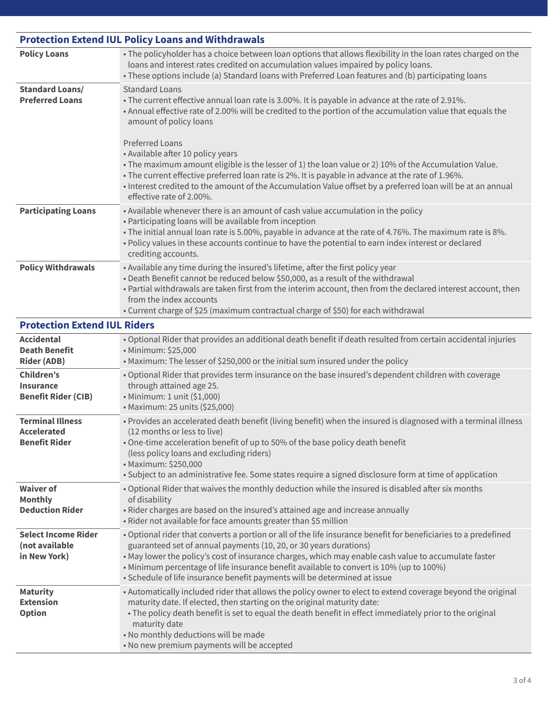| <b>Protection Extend IUL Policy Loans and Withdrawals</b>             |                                                                                                                                                                                                                                                                                                                                                                                                                                                                                                                                                                                                                                                                                            |  |
|-----------------------------------------------------------------------|--------------------------------------------------------------------------------------------------------------------------------------------------------------------------------------------------------------------------------------------------------------------------------------------------------------------------------------------------------------------------------------------------------------------------------------------------------------------------------------------------------------------------------------------------------------------------------------------------------------------------------------------------------------------------------------------|--|
| <b>Policy Loans</b>                                                   | • The policyholder has a choice between loan options that allows flexibility in the loan rates charged on the<br>loans and interest rates credited on accumulation values impaired by policy loans.<br>• These options include (a) Standard loans with Preferred Loan features and (b) participating loans                                                                                                                                                                                                                                                                                                                                                                                 |  |
| <b>Standard Loans/</b><br><b>Preferred Loans</b>                      | <b>Standard Loans</b><br>• The current effective annual loan rate is 3.00%. It is payable in advance at the rate of 2.91%.<br>• Annual effective rate of 2.00% will be credited to the portion of the accumulation value that equals the<br>amount of policy loans<br><b>Preferred Loans</b><br>• Available after 10 policy years<br>. The maximum amount eligible is the lesser of 1) the loan value or 2) 10% of the Accumulation Value.<br>• The current effective preferred loan rate is 2%. It is payable in advance at the rate of 1.96%.<br>• Interest credited to the amount of the Accumulation Value offset by a preferred loan will be at an annual<br>effective rate of 2.00%. |  |
| <b>Participating Loans</b>                                            | • Available whenever there is an amount of cash value accumulation in the policy<br>• Participating loans will be available from inception<br>. The initial annual loan rate is 5.00%, payable in advance at the rate of 4.76%. The maximum rate is 8%.<br>. Policy values in these accounts continue to have the potential to earn index interest or declared<br>crediting accounts.                                                                                                                                                                                                                                                                                                      |  |
| <b>Policy Withdrawals</b>                                             | • Available any time during the insured's lifetime, after the first policy year<br>. Death Benefit cannot be reduced below \$50,000, as a result of the withdrawal<br>. Partial withdrawals are taken first from the interim account, then from the declared interest account, then<br>from the index accounts<br>• Current charge of \$25 (maximum contractual charge of \$50) for each withdrawal                                                                                                                                                                                                                                                                                        |  |
| <b>Protection Extend IUL Riders</b>                                   |                                                                                                                                                                                                                                                                                                                                                                                                                                                                                                                                                                                                                                                                                            |  |
| <b>Accidental</b><br><b>Death Benefit</b><br><b>Rider (ADB)</b>       | . Optional Rider that provides an additional death benefit if death resulted from certain accidental injuries<br>• Minimum: \$25,000<br>• Maximum: The lesser of \$250,000 or the initial sum insured under the policy                                                                                                                                                                                                                                                                                                                                                                                                                                                                     |  |
| Children's<br><b>Insurance</b><br><b>Benefit Rider (CIB)</b>          | . Optional Rider that provides term insurance on the base insured's dependent children with coverage<br>through attained age 25.<br>• Minimum: 1 unit (\$1,000)<br>• Maximum: 25 units (\$25,000)                                                                                                                                                                                                                                                                                                                                                                                                                                                                                          |  |
| <b>Terminal Illness</b><br><b>Accelerated</b><br><b>Benefit Rider</b> | . Provides an accelerated death benefit (living benefit) when the insured is diagnosed with a terminal illness<br>(12 months or less to live)<br>. One-time acceleration benefit of up to 50% of the base policy death benefit<br>(less policy loans and excluding riders)<br>· Maximum: \$250,000<br>• Subject to an administrative fee. Some states require a signed disclosure form at time of application                                                                                                                                                                                                                                                                              |  |
| <b>Waiver of</b><br><b>Monthly</b><br><b>Deduction Rider</b>          | . Optional Rider that waives the monthly deduction while the insured is disabled after six months<br>of disability<br>• Rider charges are based on the insured's attained age and increase annually<br>• Rider not available for face amounts greater than \$5 million                                                                                                                                                                                                                                                                                                                                                                                                                     |  |
| <b>Select Income Rider</b><br>(not available<br>in New York)          | • Optional rider that converts a portion or all of the life insurance benefit for beneficiaries to a predefined<br>guaranteed set of annual payments (10, 20, or 30 years durations)<br>. May lower the policy's cost of insurance charges, which may enable cash value to accumulate faster<br>• Minimum percentage of life insurance benefit available to convert is 10% (up to 100%)<br>• Schedule of life insurance benefit payments will be determined at issue                                                                                                                                                                                                                       |  |
| <b>Maturity</b><br><b>Extension</b><br><b>Option</b>                  | • Automatically included rider that allows the policy owner to elect to extend coverage beyond the original<br>maturity date. If elected, then starting on the original maturity date:<br>• The policy death benefit is set to equal the death benefit in effect immediately prior to the original<br>maturity date<br>. No monthly deductions will be made<br>• No new premium payments will be accepted                                                                                                                                                                                                                                                                                  |  |